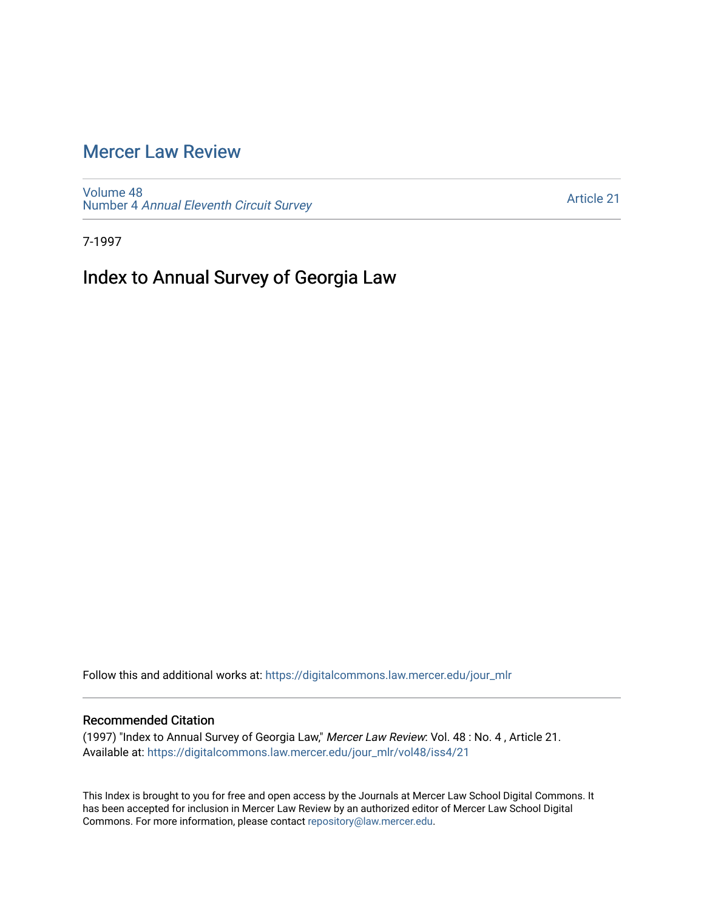## [Mercer Law Review](https://digitalcommons.law.mercer.edu/jour_mlr)

[Volume 48](https://digitalcommons.law.mercer.edu/jour_mlr/vol48) Number 4 [Annual Eleventh Circuit Survey](https://digitalcommons.law.mercer.edu/jour_mlr/vol48/iss4) 

[Article 21](https://digitalcommons.law.mercer.edu/jour_mlr/vol48/iss4/21) 

7-1997

## Index to Annual Survey of Georgia Law

Follow this and additional works at: [https://digitalcommons.law.mercer.edu/jour\\_mlr](https://digitalcommons.law.mercer.edu/jour_mlr?utm_source=digitalcommons.law.mercer.edu%2Fjour_mlr%2Fvol48%2Fiss4%2F21&utm_medium=PDF&utm_campaign=PDFCoverPages)

## Recommended Citation

(1997) "Index to Annual Survey of Georgia Law," Mercer Law Review: Vol. 48 : No. 4 , Article 21. Available at: [https://digitalcommons.law.mercer.edu/jour\\_mlr/vol48/iss4/21](https://digitalcommons.law.mercer.edu/jour_mlr/vol48/iss4/21?utm_source=digitalcommons.law.mercer.edu%2Fjour_mlr%2Fvol48%2Fiss4%2F21&utm_medium=PDF&utm_campaign=PDFCoverPages) 

This Index is brought to you for free and open access by the Journals at Mercer Law School Digital Commons. It has been accepted for inclusion in Mercer Law Review by an authorized editor of Mercer Law School Digital Commons. For more information, please contact [repository@law.mercer.edu.](mailto:repository@law.mercer.edu)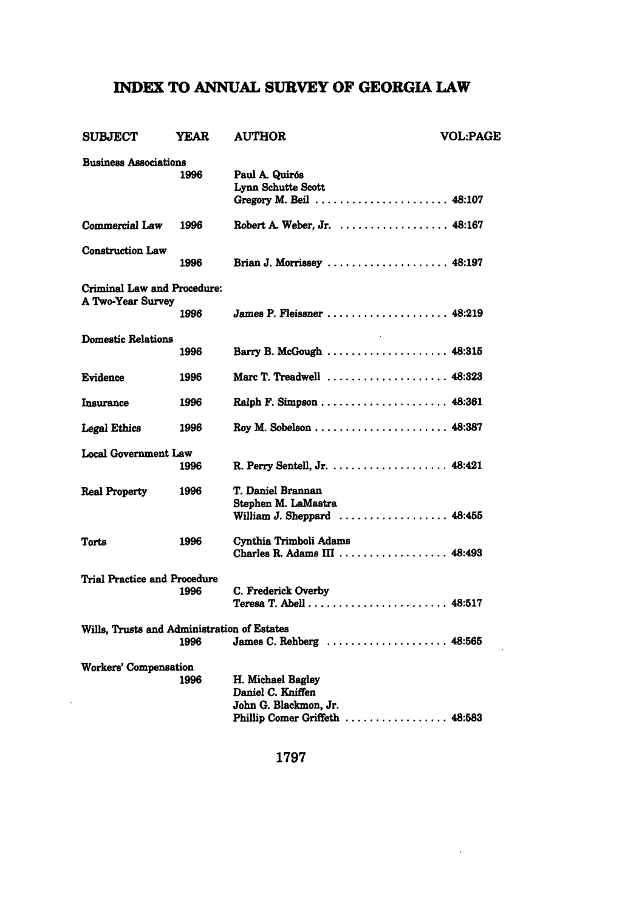## **INDEX TO ANNUAL SURVEY OF GEORGIA LAW**

| <b>SUBJECT</b>                                   | YEAR | <b>AUTHOR</b>                                                                                     | <b>VOL:PAGE</b> |
|--------------------------------------------------|------|---------------------------------------------------------------------------------------------------|-----------------|
| <b>Business Associations</b>                     | 1996 | Paul A. Quirós<br>Lynn Schutte Scott<br>Gregory M. Beil  48:107                                   |                 |
| Commercial Law                                   | 1996 | Robert A. Weber. Jr. 48:167                                                                       |                 |
| <b>Construction Law</b>                          | 1996 | Brian J. Morrissey $\ldots \ldots \ldots \ldots \ldots \ldots$ 48:197                             |                 |
| Criminal Law and Procedure:<br>A Two-Year Survey |      |                                                                                                   |                 |
|                                                  | 1996 | James P. Fleissner  48:219                                                                        |                 |
| Domestic Relations                               | 1996 | Barry B. McGough  48:315                                                                          |                 |
| Evidence                                         | 1996 | Marc T. Treadwell  48:323                                                                         |                 |
| Insurance                                        | 1996 |                                                                                                   |                 |
| Legal Ethics                                     | 1996 |                                                                                                   |                 |
| Local Government Law                             | 1996 | R. Perry Sentell, Jr. 48:421                                                                      |                 |
| <b>Real Property</b>                             | 1996 | T. Daniel Brannan<br>Stephen M. LaMastra<br>William J. Sheppard  48:455                           |                 |
| Torts                                            | 1996 | Cynthia Trimboli Adams<br>Charles R. Adams III  48:493                                            |                 |
| <b>Trial Practice and Procedure</b>              | 1996 | C. Frederick Overby                                                                               |                 |
| Wills, Trusts and Administration of Estates      | 1996 | James C. Rehberg  48:565                                                                          |                 |
| Workers' Compensation                            | 1996 | H. Michael Bagley<br>Daniel C. Kniffen<br>John G. Blackmon, Jr.<br>Phillip Comer Griffeth  48:583 |                 |

**1797**

 $\sim 10^{-11}$ 

 $\sim 10$